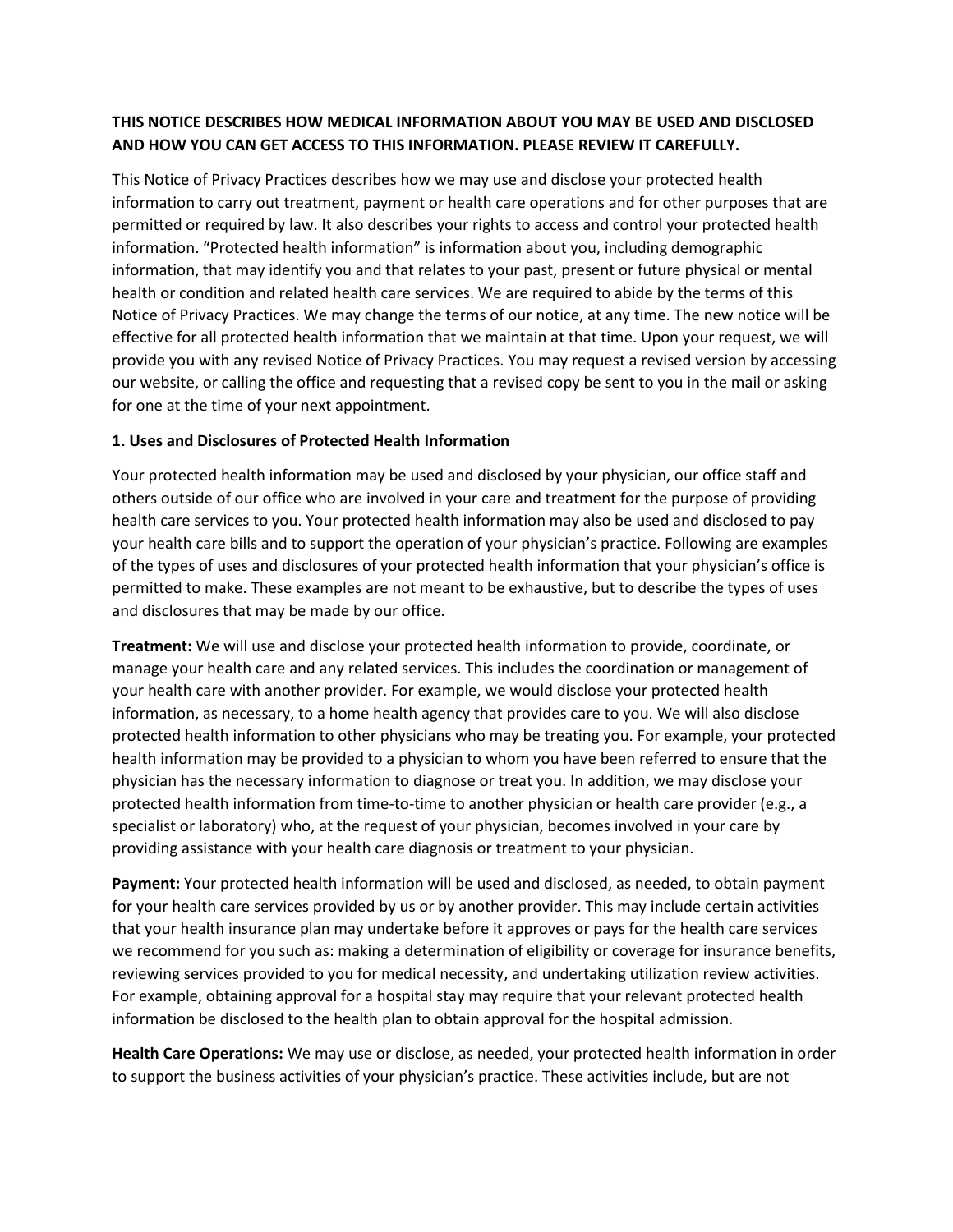## **THIS NOTICE DESCRIBES HOW MEDICAL INFORMATION ABOUT YOU MAY BE USED AND DISCLOSED AND HOW YOU CAN GET ACCESS TO THIS INFORMATION. PLEASE REVIEW IT CAREFULLY.**

This Notice of Privacy Practices describes how we may use and disclose your protected health information to carry out treatment, payment or health care operations and for other purposes that are permitted or required by law. It also describes your rights to access and control your protected health information. "Protected health information" is information about you, including demographic information, that may identify you and that relates to your past, present or future physical or mental health or condition and related health care services. We are required to abide by the terms of this Notice of Privacy Practices. We may change the terms of our notice, at any time. The new notice will be effective for all protected health information that we maintain at that time. Upon your request, we will provide you with any revised Notice of Privacy Practices. You may request a revised version by accessing our website, or calling the office and requesting that a revised copy be sent to you in the mail or asking for one at the time of your next appointment.

#### **1. Uses and Disclosures of Protected Health Information**

Your protected health information may be used and disclosed by your physician, our office staff and others outside of our office who are involved in your care and treatment for the purpose of providing health care services to you. Your protected health information may also be used and disclosed to pay your health care bills and to support the operation of your physician's practice. Following are examples of the types of uses and disclosures of your protected health information that your physician's office is permitted to make. These examples are not meant to be exhaustive, but to describe the types of uses and disclosures that may be made by our office.

**Treatment:** We will use and disclose your protected health information to provide, coordinate, or manage your health care and any related services. This includes the coordination or management of your health care with another provider. For example, we would disclose your protected health information, as necessary, to a home health agency that provides care to you. We will also disclose protected health information to other physicians who may be treating you. For example, your protected health information may be provided to a physician to whom you have been referred to ensure that the physician has the necessary information to diagnose or treat you. In addition, we may disclose your protected health information from time-to-time to another physician or health care provider (e.g., a specialist or laboratory) who, at the request of your physician, becomes involved in your care by providing assistance with your health care diagnosis or treatment to your physician.

**Payment:** Your protected health information will be used and disclosed, as needed, to obtain payment for your health care services provided by us or by another provider. This may include certain activities that your health insurance plan may undertake before it approves or pays for the health care services we recommend for you such as: making a determination of eligibility or coverage for insurance benefits, reviewing services provided to you for medical necessity, and undertaking utilization review activities. For example, obtaining approval for a hospital stay may require that your relevant protected health information be disclosed to the health plan to obtain approval for the hospital admission.

**Health Care Operations:** We may use or disclose, as needed, your protected health information in order to support the business activities of your physician's practice. These activities include, but are not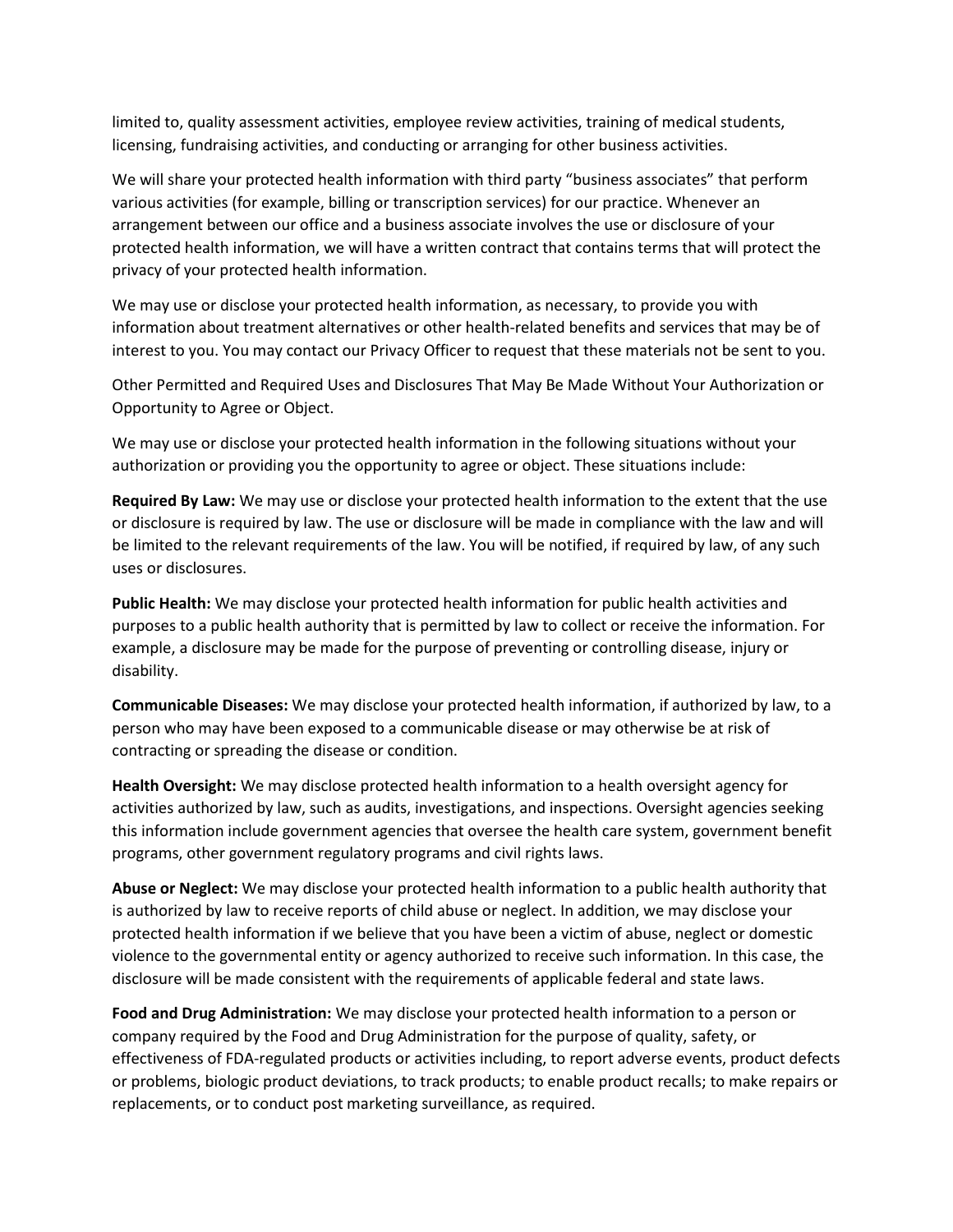limited to, quality assessment activities, employee review activities, training of medical students, licensing, fundraising activities, and conducting or arranging for other business activities.

We will share your protected health information with third party "business associates" that perform various activities (for example, billing or transcription services) for our practice. Whenever an arrangement between our office and a business associate involves the use or disclosure of your protected health information, we will have a written contract that contains terms that will protect the privacy of your protected health information.

We may use or disclose your protected health information, as necessary, to provide you with information about treatment alternatives or other health-related benefits and services that may be of interest to you. You may contact our Privacy Officer to request that these materials not be sent to you.

Other Permitted and Required Uses and Disclosures That May Be Made Without Your Authorization or Opportunity to Agree or Object.

We may use or disclose your protected health information in the following situations without your authorization or providing you the opportunity to agree or object. These situations include:

**Required By Law:** We may use or disclose your protected health information to the extent that the use or disclosure is required by law. The use or disclosure will be made in compliance with the law and will be limited to the relevant requirements of the law. You will be notified, if required by law, of any such uses or disclosures.

**Public Health:** We may disclose your protected health information for public health activities and purposes to a public health authority that is permitted by law to collect or receive the information. For example, a disclosure may be made for the purpose of preventing or controlling disease, injury or disability.

**Communicable Diseases:** We may disclose your protected health information, if authorized by law, to a person who may have been exposed to a communicable disease or may otherwise be at risk of contracting or spreading the disease or condition.

**Health Oversight:** We may disclose protected health information to a health oversight agency for activities authorized by law, such as audits, investigations, and inspections. Oversight agencies seeking this information include government agencies that oversee the health care system, government benefit programs, other government regulatory programs and civil rights laws.

**Abuse or Neglect:** We may disclose your protected health information to a public health authority that is authorized by law to receive reports of child abuse or neglect. In addition, we may disclose your protected health information if we believe that you have been a victim of abuse, neglect or domestic violence to the governmental entity or agency authorized to receive such information. In this case, the disclosure will be made consistent with the requirements of applicable federal and state laws.

**Food and Drug Administration:** We may disclose your protected health information to a person or company required by the Food and Drug Administration for the purpose of quality, safety, or effectiveness of FDA-regulated products or activities including, to report adverse events, product defects or problems, biologic product deviations, to track products; to enable product recalls; to make repairs or replacements, or to conduct post marketing surveillance, as required.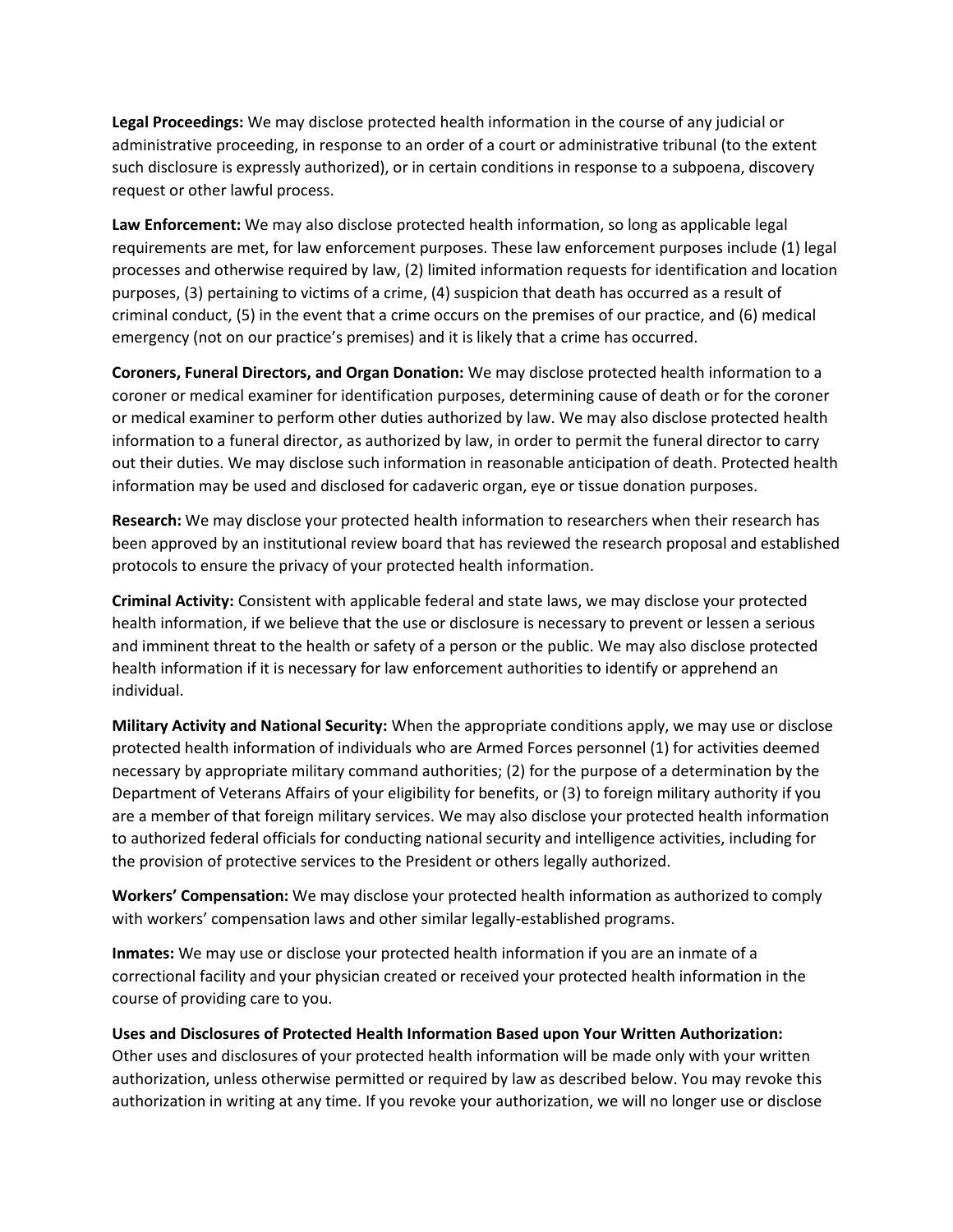**Legal Proceedings:** We may disclose protected health information in the course of any judicial or administrative proceeding, in response to an order of a court or administrative tribunal (to the extent such disclosure is expressly authorized), or in certain conditions in response to a subpoena, discovery request or other lawful process.

**Law Enforcement:** We may also disclose protected health information, so long as applicable legal requirements are met, for law enforcement purposes. These law enforcement purposes include (1) legal processes and otherwise required by law, (2) limited information requests for identification and location purposes, (3) pertaining to victims of a crime, (4) suspicion that death has occurred as a result of criminal conduct, (5) in the event that a crime occurs on the premises of our practice, and (6) medical emergency (not on our practice's premises) and it is likely that a crime has occurred.

**Coroners, Funeral Directors, and Organ Donation:** We may disclose protected health information to a coroner or medical examiner for identification purposes, determining cause of death or for the coroner or medical examiner to perform other duties authorized by law. We may also disclose protected health information to a funeral director, as authorized by law, in order to permit the funeral director to carry out their duties. We may disclose such information in reasonable anticipation of death. Protected health information may be used and disclosed for cadaveric organ, eye or tissue donation purposes.

**Research:** We may disclose your protected health information to researchers when their research has been approved by an institutional review board that has reviewed the research proposal and established protocols to ensure the privacy of your protected health information.

**Criminal Activity:** Consistent with applicable federal and state laws, we may disclose your protected health information, if we believe that the use or disclosure is necessary to prevent or lessen a serious and imminent threat to the health or safety of a person or the public. We may also disclose protected health information if it is necessary for law enforcement authorities to identify or apprehend an individual.

**Military Activity and National Security:** When the appropriate conditions apply, we may use or disclose protected health information of individuals who are Armed Forces personnel (1) for activities deemed necessary by appropriate military command authorities; (2) for the purpose of a determination by the Department of Veterans Affairs of your eligibility for benefits, or (3) to foreign military authority if you are a member of that foreign military services. We may also disclose your protected health information to authorized federal officials for conducting national security and intelligence activities, including for the provision of protective services to the President or others legally authorized.

**Workers' Compensation:** We may disclose your protected health information as authorized to comply with workers' compensation laws and other similar legally-established programs.

**Inmates:** We may use or disclose your protected health information if you are an inmate of a correctional facility and your physician created or received your protected health information in the course of providing care to you.

#### **Uses and Disclosures of Protected Health Information Based upon Your Written Authorization:**

Other uses and disclosures of your protected health information will be made only with your written authorization, unless otherwise permitted or required by law as described below. You may revoke this authorization in writing at any time. If you revoke your authorization, we will no longer use or disclose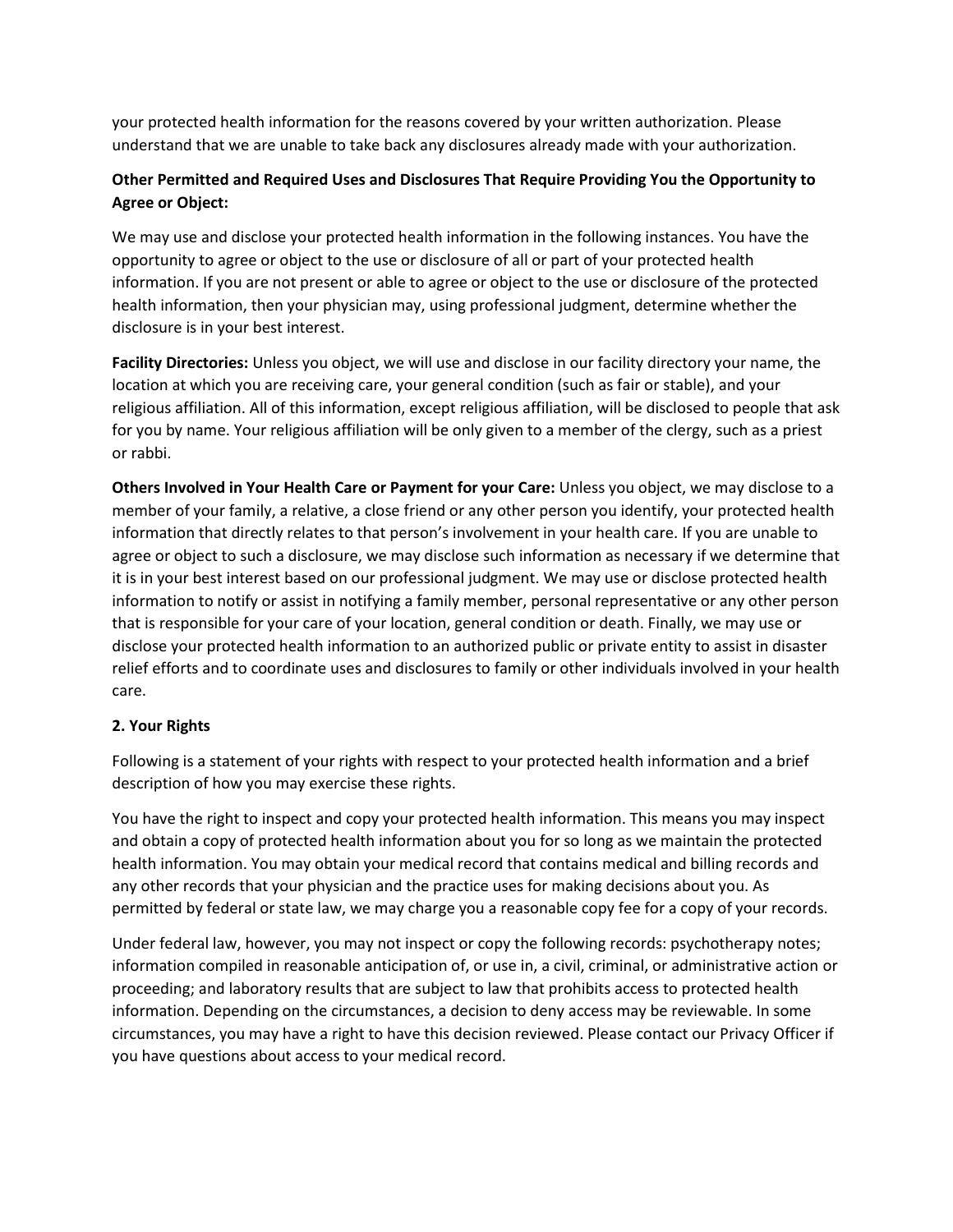your protected health information for the reasons covered by your written authorization. Please understand that we are unable to take back any disclosures already made with your authorization.

# **Other Permitted and Required Uses and Disclosures That Require Providing You the Opportunity to Agree or Object:**

We may use and disclose your protected health information in the following instances. You have the opportunity to agree or object to the use or disclosure of all or part of your protected health information. If you are not present or able to agree or object to the use or disclosure of the protected health information, then your physician may, using professional judgment, determine whether the disclosure is in your best interest.

**Facility Directories:** Unless you object, we will use and disclose in our facility directory your name, the location at which you are receiving care, your general condition (such as fair or stable), and your religious affiliation. All of this information, except religious affiliation, will be disclosed to people that ask for you by name. Your religious affiliation will be only given to a member of the clergy, such as a priest or rabbi.

**Others Involved in Your Health Care or Payment for your Care:** Unless you object, we may disclose to a member of your family, a relative, a close friend or any other person you identify, your protected health information that directly relates to that person's involvement in your health care. If you are unable to agree or object to such a disclosure, we may disclose such information as necessary if we determine that it is in your best interest based on our professional judgment. We may use or disclose protected health information to notify or assist in notifying a family member, personal representative or any other person that is responsible for your care of your location, general condition or death. Finally, we may use or disclose your protected health information to an authorized public or private entity to assist in disaster relief efforts and to coordinate uses and disclosures to family or other individuals involved in your health care.

## **2. Your Rights**

Following is a statement of your rights with respect to your protected health information and a brief description of how you may exercise these rights.

You have the right to inspect and copy your protected health information. This means you may inspect and obtain a copy of protected health information about you for so long as we maintain the protected health information. You may obtain your medical record that contains medical and billing records and any other records that your physician and the practice uses for making decisions about you. As permitted by federal or state law, we may charge you a reasonable copy fee for a copy of your records.

Under federal law, however, you may not inspect or copy the following records: psychotherapy notes; information compiled in reasonable anticipation of, or use in, a civil, criminal, or administrative action or proceeding; and laboratory results that are subject to law that prohibits access to protected health information. Depending on the circumstances, a decision to deny access may be reviewable. In some circumstances, you may have a right to have this decision reviewed. Please contact our Privacy Officer if you have questions about access to your medical record.